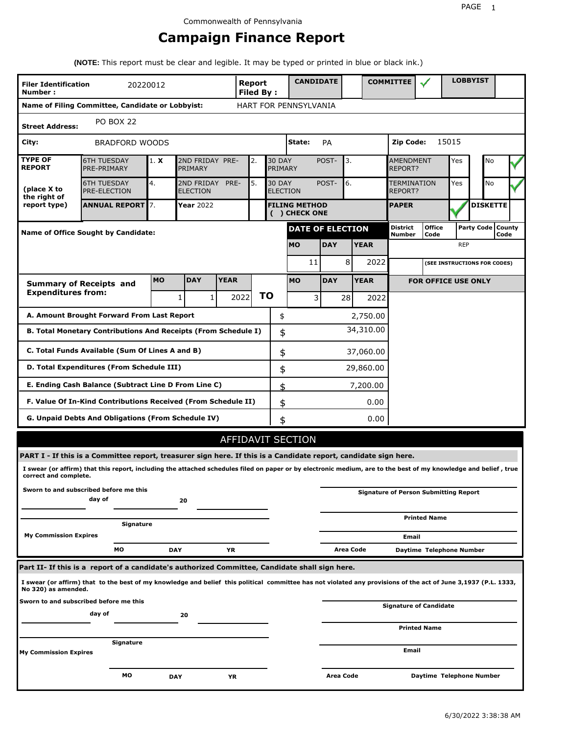# **Campaign Finance Report**

**(NOTE:** This report must be clear and legible. It may be typed or printed in blue or black ink.)

| <b>Filer Identification</b><br>Number: | 20220012                                                                                                                                                        |            |                                                                                 |             | Report<br><b>Filed By:</b> |    |    | <b>CANDIDATE</b>                      |                         |                        | <b>COMMITTEE</b>                             |                                    |            | <b>LOBBYIST</b>              |      |  |
|----------------------------------------|-----------------------------------------------------------------------------------------------------------------------------------------------------------------|------------|---------------------------------------------------------------------------------|-------------|----------------------------|----|----|---------------------------------------|-------------------------|------------------------|----------------------------------------------|------------------------------------|------------|------------------------------|------|--|
|                                        | Name of Filing Committee, Candidate or Lobbyist:                                                                                                                |            |                                                                                 |             |                            |    |    | HART FOR PENNSYLVANIA                 |                         |                        |                                              |                                    |            |                              |      |  |
| <b>Street Address:</b>                 | <b>PO BOX 22</b>                                                                                                                                                |            |                                                                                 |             |                            |    |    |                                       |                         |                        |                                              |                                    |            |                              |      |  |
| City:                                  | <b>BRADFORD WOODS</b>                                                                                                                                           |            |                                                                                 |             |                            |    |    | State:                                | PA                      |                        | Zip Code:                                    |                                    | 15015      |                              |      |  |
| <b>TYPE OF</b><br><b>REPORT</b>        | <b>6TH TUESDAY</b><br>PRE-PRIMARY                                                                                                                               | 1. X       | 2ND FRIDAY PRE-<br><b>30 DAY</b><br>2.<br>PRIMARY<br>PRIMARY                    |             |                            |    |    |                                       | POST-                   | 3.                     |                                              | <b>AMENDMENT</b><br><b>REPORT?</b> |            | No                           |      |  |
| (place X to<br>the right of            | <b>6TH TUESDAY</b><br><b>PRE-ELECTION</b>                                                                                                                       | 4.         | 5.<br><b>30 DAY</b><br>2ND FRIDAY<br>PRE-<br><b>ELECTION</b><br><b>ELECTION</b> |             |                            |    |    | POST-                                 | 6.                      | TERMINATION<br>REPORT? |                                              | Yes                                | <b>No</b>  |                              |      |  |
| report type)                           | <b>ANNUAL REPORT 7.</b>                                                                                                                                         |            | <b>Year 2022</b>                                                                |             |                            |    |    | <b>FILING METHOD</b><br>( ) CHECK ONE |                         |                        | <b>PAPER</b>                                 |                                    |            | <b>DISKETTE</b>              |      |  |
|                                        | Name of Office Sought by Candidate:                                                                                                                             |            |                                                                                 |             |                            |    |    |                                       | <b>DATE OF ELECTION</b> |                        | District<br>Number                           | <b>Office</b><br>Code              |            | Party Code   County          | Code |  |
|                                        |                                                                                                                                                                 |            |                                                                                 |             |                            |    |    | <b>MO</b>                             | <b>DAY</b>              | <b>YEAR</b>            |                                              |                                    | <b>REP</b> |                              |      |  |
|                                        |                                                                                                                                                                 |            |                                                                                 |             |                            |    |    | 11                                    |                         | 8<br>2022              |                                              |                                    |            | (SEE INSTRUCTIONS FOR CODES) |      |  |
|                                        | <b>Summary of Receipts and</b>                                                                                                                                  | <b>MO</b>  | <b>DAY</b>                                                                      | <b>YEAR</b> |                            |    |    | <b>MO</b>                             | <b>DAY</b>              | <b>YEAR</b>            |                                              | <b>FOR OFFICE USE ONLY</b>         |            |                              |      |  |
| <b>Expenditures from:</b>              |                                                                                                                                                                 |            | 1<br>1                                                                          |             | 2022                       | ΤO |    | 3                                     | 28                      | 2022                   |                                              |                                    |            |                              |      |  |
|                                        | A. Amount Brought Forward From Last Report                                                                                                                      |            |                                                                                 |             |                            |    | \$ |                                       |                         | 2,750.00               |                                              |                                    |            |                              |      |  |
|                                        | B. Total Monetary Contributions And Receipts (From Schedule I)                                                                                                  |            |                                                                                 |             |                            |    | \$ |                                       |                         | 34,310.00              |                                              |                                    |            |                              |      |  |
|                                        | C. Total Funds Available (Sum Of Lines A and B)                                                                                                                 |            |                                                                                 |             |                            |    | \$ |                                       |                         | 37,060.00              |                                              |                                    |            |                              |      |  |
|                                        | D. Total Expenditures (From Schedule III)                                                                                                                       |            |                                                                                 |             |                            |    | \$ |                                       |                         | 29,860.00              |                                              |                                    |            |                              |      |  |
|                                        | E. Ending Cash Balance (Subtract Line D From Line C)                                                                                                            |            |                                                                                 |             |                            |    | \$ |                                       |                         | 7,200.00               |                                              |                                    |            |                              |      |  |
|                                        | F. Value Of In-Kind Contributions Received (From Schedule II)                                                                                                   |            |                                                                                 |             |                            |    | \$ |                                       |                         | 0.00                   |                                              |                                    |            |                              |      |  |
|                                        | G. Unpaid Debts And Obligations (From Schedule IV)                                                                                                              |            |                                                                                 |             |                            |    | \$ |                                       |                         | 0.00                   |                                              |                                    |            |                              |      |  |
|                                        |                                                                                                                                                                 |            |                                                                                 |             | AFFIDAVIT SECTION          |    |    |                                       |                         |                        |                                              |                                    |            |                              |      |  |
|                                        | PART I - If this is a Committee report, treasurer sign here. If this is a Candidate report, candidate sign here.                                                |            |                                                                                 |             |                            |    |    |                                       |                         |                        |                                              |                                    |            |                              |      |  |
| correct and complete.                  | I swear (or affirm) that this report, including the attached schedules filed on paper or by electronic medium, are to the best of my knowledge and belief, true |            |                                                                                 |             |                            |    |    |                                       |                         |                        |                                              |                                    |            |                              |      |  |
|                                        | Sworn to and subscribed before me this<br>day of                                                                                                                |            | 20                                                                              |             |                            |    |    |                                       |                         |                        | <b>Signature of Person Submitting Report</b> |                                    |            |                              |      |  |
|                                        | Signature                                                                                                                                                       |            |                                                                                 |             |                            |    |    |                                       |                         |                        |                                              | <b>Printed Name</b>                |            |                              |      |  |
| <b>My Commission Expires</b>           |                                                                                                                                                                 |            |                                                                                 |             |                            |    |    |                                       |                         |                        | Email                                        |                                    |            |                              |      |  |
|                                        | МO                                                                                                                                                              | <b>DAY</b> |                                                                                 | ΥR          |                            |    |    |                                       |                         | Area Code              |                                              | Daytime Telephone Number           |            |                              |      |  |
|                                        | Part II- If this is a report of a candidate's authorized Committee, Candidate shall sign here.                                                                  |            |                                                                                 |             |                            |    |    |                                       |                         |                        |                                              |                                    |            |                              |      |  |
| No 320) as amended.                    | I swear (or affirm) that to the best of my knowledge and belief this political committee has not violated any provisions of the act of June 3,1937 (P.L. 1333,  |            |                                                                                 |             |                            |    |    |                                       |                         |                        |                                              |                                    |            |                              |      |  |
|                                        | Sworn to and subscribed before me this<br>day of                                                                                                                |            | 20                                                                              |             |                            |    |    |                                       |                         |                        |                                              | <b>Signature of Candidate</b>      |            |                              |      |  |
|                                        |                                                                                                                                                                 |            |                                                                                 |             |                            |    |    |                                       |                         |                        |                                              | <b>Printed Name</b>                |            |                              |      |  |
| <b>My Commission Expires</b>           | Signature                                                                                                                                                       |            |                                                                                 |             |                            |    |    |                                       |                         |                        | Email                                        |                                    |            |                              |      |  |
|                                        | мо                                                                                                                                                              | <b>DAY</b> |                                                                                 | ΥR          |                            |    |    |                                       | Area Code               |                        |                                              | Daytime Telephone Number           |            |                              |      |  |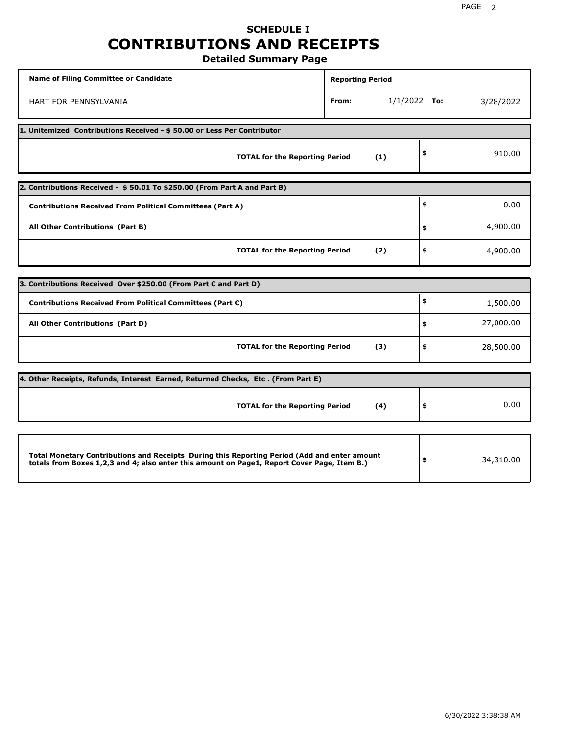## **SCHEDULE I CONTRIBUTIONS AND RECEIPTS**

**Detailed Summary Page**

| <b>Name of Filing Committee or Candidate</b>                                                                                                                                                | <b>Reporting Period</b> |                |                 |
|---------------------------------------------------------------------------------------------------------------------------------------------------------------------------------------------|-------------------------|----------------|-----------------|
| <b>HART FOR PENNSYLVANIA</b>                                                                                                                                                                | From:                   | $1/1/2022$ To: | 3/28/2022       |
| 1. Unitemized Contributions Received - \$50.00 or Less Per Contributor                                                                                                                      |                         |                |                 |
| <b>TOTAL for the Reporting Period</b>                                                                                                                                                       |                         | (1)            | \$<br>910.00    |
| 2. Contributions Received - \$50.01 To \$250.00 (From Part A and Part B)                                                                                                                    |                         |                |                 |
| <b>Contributions Received From Political Committees (Part A)</b>                                                                                                                            |                         |                | \$<br>0.00      |
| All Other Contributions (Part B)                                                                                                                                                            |                         |                | \$<br>4,900.00  |
| <b>TOTAL for the Reporting Period</b>                                                                                                                                                       |                         | (2)            | \$<br>4,900.00  |
|                                                                                                                                                                                             |                         |                |                 |
| 3. Contributions Received Over \$250.00 (From Part C and Part D)                                                                                                                            |                         |                |                 |
| <b>Contributions Received From Political Committees (Part C)</b>                                                                                                                            |                         |                | \$<br>1,500.00  |
| All Other Contributions (Part D)                                                                                                                                                            |                         |                | \$<br>27,000.00 |
| <b>TOTAL for the Reporting Period</b>                                                                                                                                                       |                         | (3)            | \$<br>28,500.00 |
| 4. Other Receipts, Refunds, Interest Earned, Returned Checks, Etc. (From Part E)                                                                                                            |                         |                |                 |
| <b>TOTAL for the Reporting Period</b>                                                                                                                                                       |                         | (4)            | \$<br>0.00      |
|                                                                                                                                                                                             |                         |                |                 |
| Total Monetary Contributions and Receipts During this Reporting Period (Add and enter amount<br>totals from Boxes 1,2,3 and 4; also enter this amount on Page1, Report Cover Page, Item B.) |                         |                | \$<br>34,310.00 |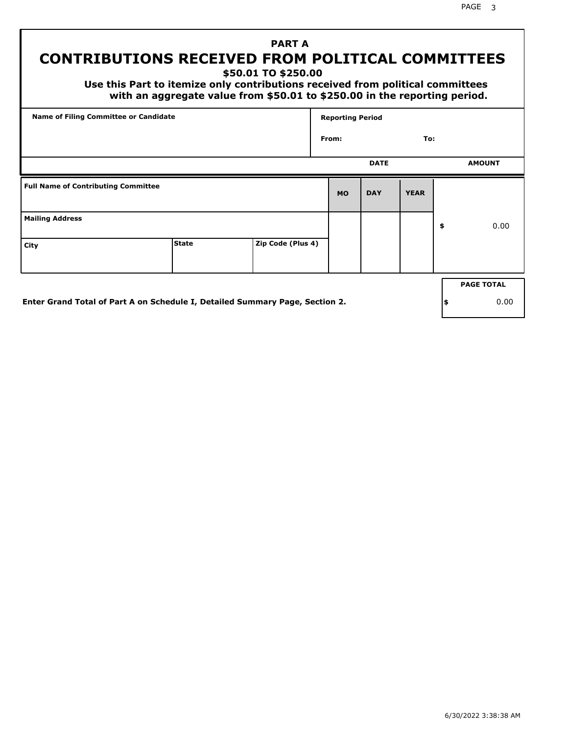## **PART A CONTRIBUTIONS RECEIVED FROM POLITICAL COMMITTEES**

**\$50.01 TO \$250.00**

 **Use this Part to itemize only contributions received from political committees with an aggregate value from \$50.01 to \$250.00 in the reporting period.**

| Name of Filing Committee or Candidate      |                                                                              |                   | <b>Reporting Period</b> |             |             |     |                   |
|--------------------------------------------|------------------------------------------------------------------------------|-------------------|-------------------------|-------------|-------------|-----|-------------------|
|                                            |                                                                              |                   | From:                   |             | To:         |     |                   |
|                                            |                                                                              |                   |                         | <b>DATE</b> |             |     | <b>AMOUNT</b>     |
| <b>Full Name of Contributing Committee</b> |                                                                              |                   | <b>MO</b>               | <b>DAY</b>  | <b>YEAR</b> |     |                   |
| <b>Mailing Address</b>                     |                                                                              |                   |                         |             |             | \$  | 0.00              |
| City                                       | <b>State</b>                                                                 | Zip Code (Plus 4) |                         |             |             |     |                   |
|                                            |                                                                              |                   |                         |             |             |     | <b>PAGE TOTAL</b> |
|                                            | Enter Grand Total of Part A on Schedule I, Detailed Summary Page, Section 2. |                   |                         |             |             | ∣\$ | 0.00              |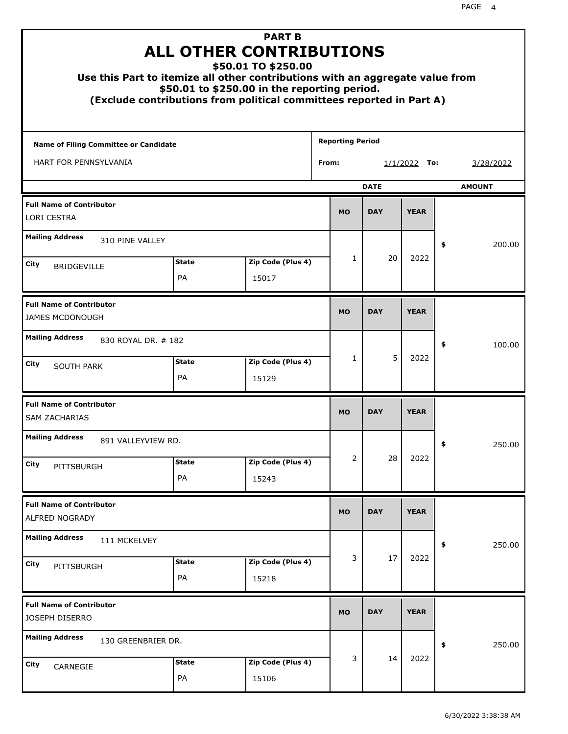| Use this Part to itemize all other contributions with an aggregate value from |                    | <b>PART B</b><br><b>ALL OTHER CONTRIBUTIONS</b><br>\$50.01 TO \$250.00<br>\$50.01 to \$250.00 in the reporting period.<br>(Exclude contributions from political committees reported in Part A) |                         |             |                |               |
|-------------------------------------------------------------------------------|--------------------|------------------------------------------------------------------------------------------------------------------------------------------------------------------------------------------------|-------------------------|-------------|----------------|---------------|
| <b>Name of Filing Committee or Candidate</b>                                  |                    |                                                                                                                                                                                                | <b>Reporting Period</b> |             |                |               |
| HART FOR PENNSYLVANIA                                                         |                    |                                                                                                                                                                                                | From:                   |             | $1/1/2022$ To: | 3/28/2022     |
|                                                                               |                    |                                                                                                                                                                                                |                         | <b>DATE</b> |                | <b>AMOUNT</b> |
| <b>Full Name of Contributor</b><br><b>LORI CESTRA</b>                         |                    |                                                                                                                                                                                                | <b>MO</b>               | <b>DAY</b>  | <b>YEAR</b>    |               |
| <b>Mailing Address</b><br>310 PINE VALLEY                                     |                    |                                                                                                                                                                                                |                         |             |                | \$<br>200.00  |
| City                                                                          | <b>State</b>       | Zip Code (Plus 4)                                                                                                                                                                              | $\mathbf{1}$            | 20          | 2022           |               |
| <b>BRIDGEVILLE</b>                                                            | PA                 | 15017                                                                                                                                                                                          |                         |             |                |               |
| <b>Full Name of Contributor</b><br><b>JAMES MCDONOUGH</b>                     |                    |                                                                                                                                                                                                | <b>MO</b>               | <b>DAY</b>  | <b>YEAR</b>    |               |
| <b>Mailing Address</b><br>830 ROYAL DR. # 182                                 |                    |                                                                                                                                                                                                |                         |             |                | \$<br>100.00  |
| City<br><b>SOUTH PARK</b>                                                     | <b>State</b><br>PA | Zip Code (Plus 4)<br>15129                                                                                                                                                                     | $\mathbf{1}$            | 5           | 2022           |               |
| <b>Full Name of Contributor</b><br><b>SAM ZACHARIAS</b>                       |                    |                                                                                                                                                                                                | <b>MO</b>               | <b>DAY</b>  | <b>YEAR</b>    |               |
| <b>Mailing Address</b><br>891 VALLEYVIEW RD.                                  |                    |                                                                                                                                                                                                |                         |             |                | 250.00<br>≯   |
| City<br>PITTSBURGH                                                            | <b>State</b>       | Zip Code (Plus 4)                                                                                                                                                                              | 2                       | 28          | 2022           |               |
|                                                                               | PA                 | 15243                                                                                                                                                                                          |                         |             |                |               |
| <b>Full Name of Contributor</b><br>ALFRED NOGRADY                             |                    |                                                                                                                                                                                                | <b>MO</b>               | <b>DAY</b>  | <b>YEAR</b>    |               |
| <b>Mailing Address</b><br>111 MCKELVEY                                        |                    |                                                                                                                                                                                                |                         |             |                | \$<br>250.00  |
| City<br>PITTSBURGH                                                            | <b>State</b><br>PA | Zip Code (Plus 4)<br>15218                                                                                                                                                                     | 3                       | 17          | 2022           |               |
| <b>Full Name of Contributor</b><br>JOSEPH DISERRO                             |                    |                                                                                                                                                                                                | <b>MO</b>               | <b>DAY</b>  | <b>YEAR</b>    |               |
| <b>Mailing Address</b><br>130 GREENBRIER DR.                                  |                    |                                                                                                                                                                                                |                         |             |                | \$<br>250.00  |
| City<br>CARNEGIE                                                              | <b>State</b><br>PA | Zip Code (Plus 4)<br>15106                                                                                                                                                                     | 3                       | 14          | 2022           |               |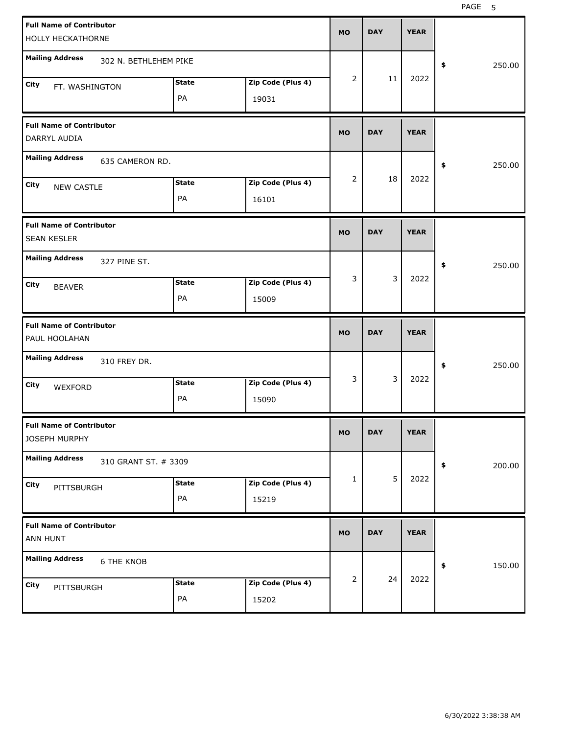| <b>Full Name of Contributor</b><br>HOLLY HECKATHORNE            |                    |                            | <b>MO</b>      | <b>DAY</b> | <b>YEAR</b> |              |
|-----------------------------------------------------------------|--------------------|----------------------------|----------------|------------|-------------|--------------|
| <b>Mailing Address</b><br>302 N. BETHLEHEM PIKE                 |                    |                            |                |            |             | 250.00<br>\$ |
| City<br>FT. WASHINGTON                                          | <b>State</b><br>PA | Zip Code (Plus 4)<br>19031 | 2              | 11         | 2022        |              |
| <b>Full Name of Contributor</b><br><b>DARRYL AUDIA</b>          |                    |                            | <b>MO</b>      | <b>DAY</b> | <b>YEAR</b> |              |
| <b>Mailing Address</b><br>635 CAMERON RD.                       |                    |                            |                |            |             | 250.00<br>\$ |
| City<br><b>NEW CASTLE</b>                                       | <b>State</b><br>PA | Zip Code (Plus 4)<br>16101 | $\overline{2}$ | 18         | 2022        |              |
| <b>Full Name of Contributor</b><br><b>SEAN KESLER</b>           |                    |                            | <b>MO</b>      | <b>DAY</b> | <b>YEAR</b> |              |
| <b>Mailing Address</b><br>327 PINE ST.<br>City<br><b>BEAVER</b> | <b>State</b><br>PA | Zip Code (Plus 4)<br>15009 | 3              | 3          | 2022        | 250.00<br>\$ |
|                                                                 |                    |                            |                |            |             |              |
| <b>Full Name of Contributor</b><br>PAUL HOOLAHAN                |                    |                            | <b>MO</b>      | <b>DAY</b> | <b>YEAR</b> |              |
| <b>Mailing Address</b><br>310 FREY DR.                          |                    |                            |                |            |             | 250.00<br>\$ |
| City<br>WEXFORD                                                 | <b>State</b><br>PA | Zip Code (Plus 4)<br>15090 | 3              | 3          | 2022        |              |
| <b>Full Name of Contributor</b><br>JOSEPH MURPHY                |                    |                            | MO             | <b>DAY</b> | <b>YEAR</b> |              |
| <b>Mailing Address</b><br>310 GRANT ST. # 3309                  |                    |                            |                |            |             | 200.00<br>\$ |
| City<br>PITTSBURGH                                              | <b>State</b><br>PA | Zip Code (Plus 4)<br>15219 | $\mathbf{1}$   | 5          | 2022        |              |
| <b>Full Name of Contributor</b><br>ANN HUNT                     |                    |                            | <b>MO</b>      | <b>DAY</b> | <b>YEAR</b> |              |
| <b>Mailing Address</b><br><b>6 THE KNOB</b>                     |                    |                            | 2              | 24         | 2022        | 150.00<br>\$ |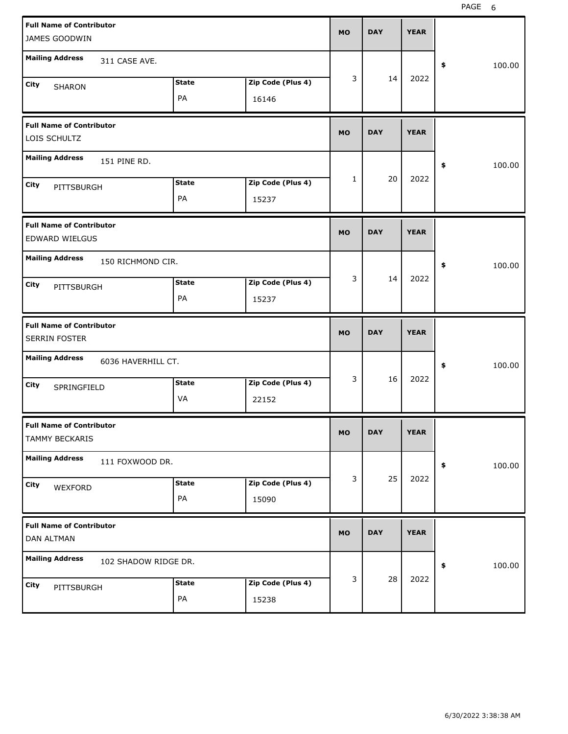| <b>Full Name of Contributor</b><br>JAMES GOODWIN     |              |                   | <b>MO</b>    | <b>DAY</b> | <b>YEAR</b> |              |
|------------------------------------------------------|--------------|-------------------|--------------|------------|-------------|--------------|
| <b>Mailing Address</b><br>311 CASE AVE.              |              |                   |              |            |             | 100.00<br>\$ |
| City<br>SHARON                                       | <b>State</b> | Zip Code (Plus 4) | 3            | 14         | 2022        |              |
|                                                      | PA           | 16146             |              |            |             |              |
| <b>Full Name of Contributor</b><br>LOIS SCHULTZ      |              |                   | <b>MO</b>    | <b>DAY</b> | <b>YEAR</b> |              |
| <b>Mailing Address</b><br>151 PINE RD.               |              |                   |              |            |             | 100.00<br>\$ |
| City<br>PITTSBURGH                                   | <b>State</b> | Zip Code (Plus 4) | $\mathbf{1}$ | 20         | 2022        |              |
|                                                      | PA           | 15237             |              |            |             |              |
| <b>Full Name of Contributor</b><br>EDWARD WIELGUS    |              |                   | <b>MO</b>    | <b>DAY</b> | <b>YEAR</b> |              |
| <b>Mailing Address</b><br>150 RICHMOND CIR.          |              |                   |              |            |             | \$<br>100.00 |
| City<br>PITTSBURGH                                   | <b>State</b> | Zip Code (Plus 4) | 3            | 14         | 2022        |              |
|                                                      | PA           | 15237             |              |            |             |              |
|                                                      |              |                   |              |            |             |              |
| <b>Full Name of Contributor</b><br>SERRIN FOSTER     |              |                   | <b>MO</b>    | <b>DAY</b> | <b>YEAR</b> |              |
| <b>Mailing Address</b><br>6036 HAVERHILL CT.         |              |                   |              |            |             | 100.00<br>\$ |
| City                                                 | <b>State</b> | Zip Code (Plus 4) | 3            | 16         | 2022        |              |
| SPRINGFIELD                                          | VA           | 22152             |              |            |             |              |
| <b>Full Name of Contributor</b><br>TAMMY BECKARIS    |              |                   | <b>MO</b>    | DAY        | <b>YEAR</b> |              |
| <b>Mailing Address</b><br>111 FOXWOOD DR.            |              |                   |              |            |             | 100.00<br>\$ |
| City                                                 | <b>State</b> | Zip Code (Plus 4) | 3            | 25         | 2022        |              |
| WEXFORD                                              | PA           | 15090             |              |            |             |              |
| <b>Full Name of Contributor</b><br><b>DAN ALTMAN</b> |              |                   | <b>MO</b>    | <b>DAY</b> | <b>YEAR</b> |              |
| <b>Mailing Address</b><br>102 SHADOW RIDGE DR.       |              |                   |              |            |             | 100.00<br>\$ |
| City<br>PITTSBURGH                                   | <b>State</b> | Zip Code (Plus 4) | 3            | 28         | 2022        |              |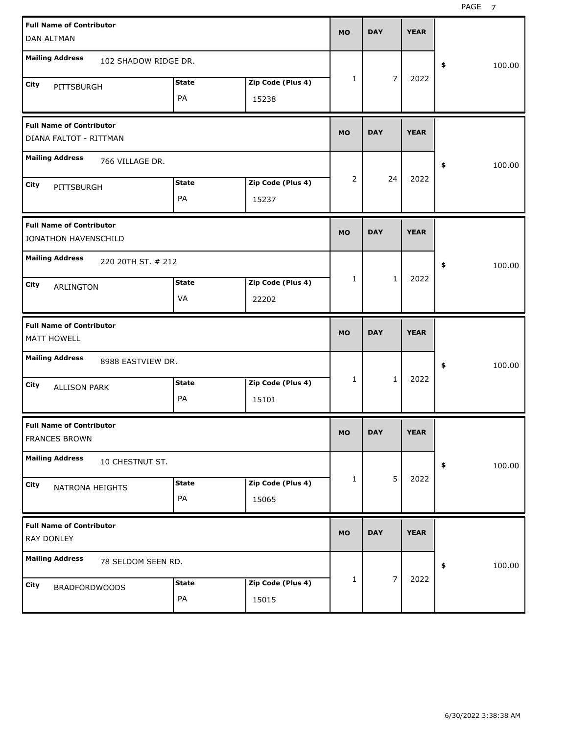| <b>Full Name of Contributor</b><br>DAN ALTMAN                     | <b>MO</b>          | <b>DAY</b>                 | <b>YEAR</b> |                |             |              |
|-------------------------------------------------------------------|--------------------|----------------------------|-------------|----------------|-------------|--------------|
| <b>Mailing Address</b><br>102 SHADOW RIDGE DR.                    |                    |                            |             |                |             | \$<br>100.00 |
| City<br>PITTSBURGH                                                | <b>State</b><br>PA | Zip Code (Plus 4)<br>15238 | 1           | 7              | 2022        |              |
| <b>Full Name of Contributor</b><br>DIANA FALTOT - RITTMAN         |                    |                            | <b>MO</b>   | <b>DAY</b>     | <b>YEAR</b> |              |
| <b>Mailing Address</b><br>766 VILLAGE DR.                         |                    |                            |             |                |             | 100.00<br>\$ |
| City<br>PITTSBURGH                                                | <b>State</b><br>PA | Zip Code (Plus 4)<br>15237 | 2           | 24             | 2022        |              |
| <b>Full Name of Contributor</b><br>JONATHON HAVENSCHILD           |                    |                            | <b>MO</b>   | <b>DAY</b>     | <b>YEAR</b> |              |
| <b>Mailing Address</b><br>220 20TH ST. # 212<br>City<br>ARLINGTON | <b>State</b><br>VA | Zip Code (Plus 4)<br>22202 | 1           | $\mathbf{1}$   | 2022        | 100.00<br>\$ |
|                                                                   |                    |                            |             |                |             |              |
| <b>Full Name of Contributor</b><br>MATT HOWELL                    |                    |                            | <b>MO</b>   | <b>DAY</b>     | <b>YEAR</b> |              |
| <b>Mailing Address</b><br>8988 EASTVIEW DR.                       |                    |                            |             |                |             | 100.00<br>\$ |
| City<br><b>ALLISON PARK</b>                                       | <b>State</b><br>PA | Zip Code (Plus 4)<br>15101 | 1           | $\mathbf{1}$   | 2022        |              |
| <b>Full Name of Contributor</b><br>FRANCES BROWN                  |                    |                            | <b>MO</b>   | <b>DAY</b>     | <b>YEAR</b> |              |
| <b>Mailing Address</b><br>10 CHESTNUT ST.                         |                    |                            |             |                |             | \$<br>100.00 |
| City<br>NATRONA HEIGHTS                                           | <b>State</b><br>PA | Zip Code (Plus 4)<br>15065 | 1           | 5              | 2022        |              |
| <b>Full Name of Contributor</b><br>RAY DONLEY                     |                    |                            | <b>MO</b>   | <b>DAY</b>     | <b>YEAR</b> |              |
| <b>Mailing Address</b><br>78 SELDOM SEEN RD.                      |                    |                            |             | $\overline{7}$ | 2022        | \$<br>100.00 |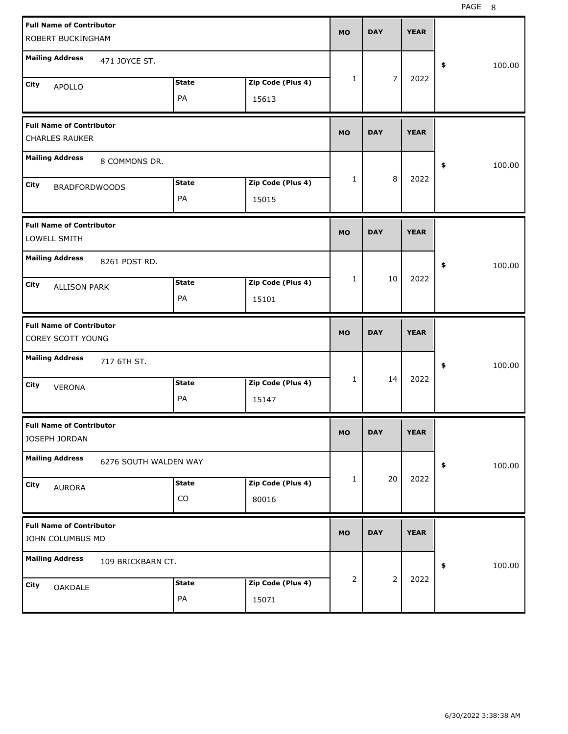| <b>Full Name of Contributor</b><br>ROBERT BUCKINGHAM |                            | <b>MO</b>      | <b>DAY</b>     | <b>YEAR</b> |              |
|------------------------------------------------------|----------------------------|----------------|----------------|-------------|--------------|
| <b>Mailing Address</b><br>471 JOYCE ST.              |                            |                |                |             | \$<br>100.00 |
| <b>State</b><br>City<br><b>APOLLO</b><br>PA          | Zip Code (Plus 4)<br>15613 | $\mathbf{1}$   | $\overline{7}$ | 2022        |              |
| <b>Full Name of Contributor</b><br>CHARLES RAUKER    |                            | <b>MO</b>      | <b>DAY</b>     | <b>YEAR</b> |              |
| <b>Mailing Address</b><br>8 COMMONS DR.              |                            |                |                |             | \$<br>100.00 |
| <b>State</b><br>City<br><b>BRADFORDWOODS</b><br>PA   | Zip Code (Plus 4)<br>15015 | $\mathbf{1}$   | 8              | 2022        |              |
| <b>Full Name of Contributor</b><br>LOWELL SMITH      |                            | <b>MO</b>      | <b>DAY</b>     | <b>YEAR</b> |              |
| <b>Mailing Address</b><br>8261 POST RD.              |                            |                |                |             | \$<br>100.00 |
| <b>State</b><br>City<br><b>ALLISON PARK</b><br>PA    | Zip Code (Plus 4)<br>15101 | $\mathbf{1}$   | 10             | 2022        |              |
|                                                      |                            |                |                |             |              |
| <b>Full Name of Contributor</b><br>COREY SCOTT YOUNG |                            | <b>MO</b>      | <b>DAY</b>     | <b>YEAR</b> |              |
| <b>Mailing Address</b><br>717 6TH ST.                |                            |                |                |             | \$<br>100.00 |
| <b>State</b><br>City<br><b>VERONA</b><br>PA          | Zip Code (Plus 4)<br>15147 | $\mathbf{1}$   | 14             | 2022        |              |
| <b>Full Name of Contributor</b><br>JOSEPH JORDAN     |                            | <b>MO</b>      | <b>DAY</b>     | <b>YEAR</b> |              |
| <b>Mailing Address</b><br>6276 SOUTH WALDEN WAY      |                            |                |                |             | 100.00<br>\$ |
| <b>State</b><br>City<br><b>AURORA</b><br>CO          | Zip Code (Plus 4)<br>80016 | $\mathbf{1}$   | 20             | 2022        |              |
| <b>Full Name of Contributor</b><br>JOHN COLUMBUS MD  |                            | <b>MO</b>      | <b>DAY</b>     | <b>YEAR</b> |              |
| <b>Mailing Address</b><br>109 BRICKBARN CT.          |                            | $\overline{2}$ | $\overline{2}$ | 2022        | 100.00<br>\$ |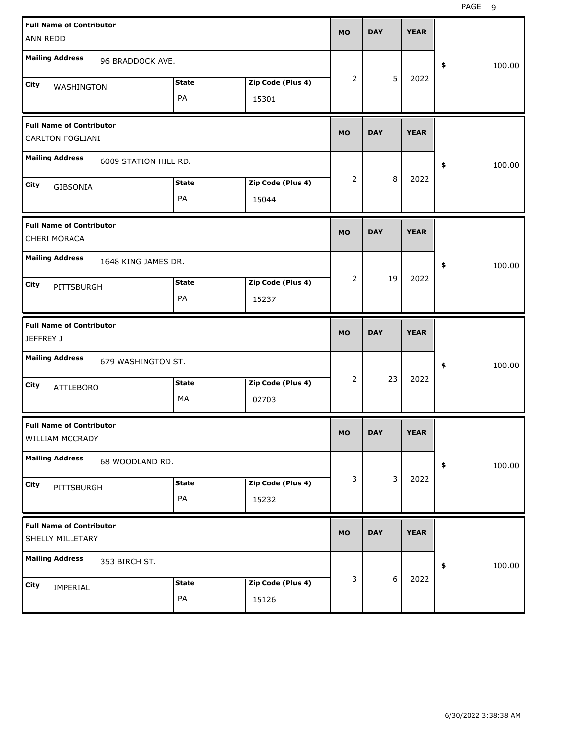| <b>Full Name of Contributor</b>                            |              |                   | <b>MO</b>      | <b>DAY</b> | <b>YEAR</b> |              |
|------------------------------------------------------------|--------------|-------------------|----------------|------------|-------------|--------------|
| <b>ANN REDD</b>                                            |              |                   |                |            |             |              |
| <b>Mailing Address</b><br>96 BRADDOCK AVE.                 |              |                   |                |            |             | \$<br>100.00 |
| City<br>WASHINGTON                                         | <b>State</b> | Zip Code (Plus 4) | $\overline{2}$ | 5          | 2022        |              |
|                                                            | PA           | 15301             |                |            |             |              |
| <b>Full Name of Contributor</b><br><b>CARLTON FOGLIANI</b> |              |                   | <b>MO</b>      | <b>DAY</b> | <b>YEAR</b> |              |
| <b>Mailing Address</b><br>6009 STATION HILL RD.            |              |                   |                |            |             | \$<br>100.00 |
| City<br>GIBSONIA                                           | <b>State</b> | Zip Code (Plus 4) | 2              | 8          | 2022        |              |
|                                                            | PA           | 15044             |                |            |             |              |
| <b>Full Name of Contributor</b><br>CHERI MORACA            |              |                   | <b>MO</b>      | <b>DAY</b> | <b>YEAR</b> |              |
| <b>Mailing Address</b><br>1648 KING JAMES DR.              |              |                   |                |            |             | \$<br>100.00 |
| City<br>PITTSBURGH                                         | <b>State</b> | Zip Code (Plus 4) | $\overline{2}$ | 19         | 2022        |              |
|                                                            | PA           | 15237             |                |            |             |              |
|                                                            |              |                   |                |            |             |              |
| <b>Full Name of Contributor</b><br>JEFFREY J               |              |                   | <b>MO</b>      | <b>DAY</b> | <b>YEAR</b> |              |
| <b>Mailing Address</b><br>679 WASHINGTON ST.               |              |                   |                |            |             | \$<br>100.00 |
| City<br><b>ATTLEBORO</b>                                   | <b>State</b> | Zip Code (Plus 4) | $\overline{2}$ | 23         | 2022        |              |
|                                                            | МA           | 02703             |                |            |             |              |
| <b>Full Name of Contributor</b><br>WILLIAM MCCRADY         |              |                   | <b>MO</b>      | <b>DAY</b> | <b>YEAR</b> |              |
| <b>Mailing Address</b><br>68 WOODLAND RD.                  |              |                   |                |            |             | 100.00<br>\$ |
| City                                                       | <b>State</b> | Zip Code (Plus 4) | 3              | 3          | 2022        |              |
| PITTSBURGH                                                 | PA           | 15232             |                |            |             |              |
| <b>Full Name of Contributor</b><br>SHELLY MILLETARY        |              |                   | <b>MO</b>      | <b>DAY</b> | <b>YEAR</b> |              |
| <b>Mailing Address</b><br>353 BIRCH ST.                    |              |                   |                |            |             | \$<br>100.00 |
| City<br>IMPERIAL                                           | <b>State</b> | Zip Code (Plus 4) | 3              | $6\,$      | 2022        |              |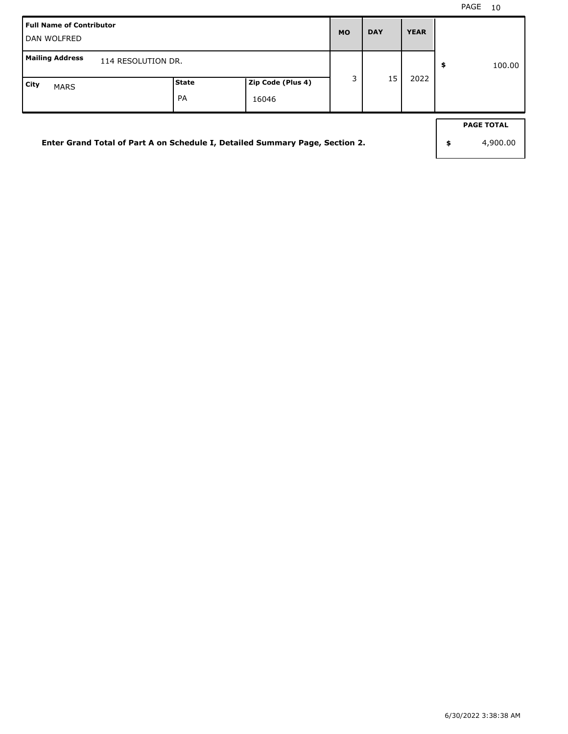| Full Name of Contributor<br>l DAN WOLFRED                                    |                    |                            | <b>MO</b> | <b>DAY</b> | <b>YEAR</b> |                                     |
|------------------------------------------------------------------------------|--------------------|----------------------------|-----------|------------|-------------|-------------------------------------|
| Mailing Address<br>114 RESOLUTION DR.                                        |                    |                            |           |            |             | \$<br>100.00                        |
| City<br><b>MARS</b>                                                          | <b>State</b><br>PA | Zip Code (Plus 4)<br>16046 | 3         | 15         | 2022        |                                     |
| Enter Grand Total of Part A on Schedule I, Detailed Summary Page, Section 2. |                    |                            |           |            |             | \$<br><b>PAGE TOTAL</b><br>4,900.00 |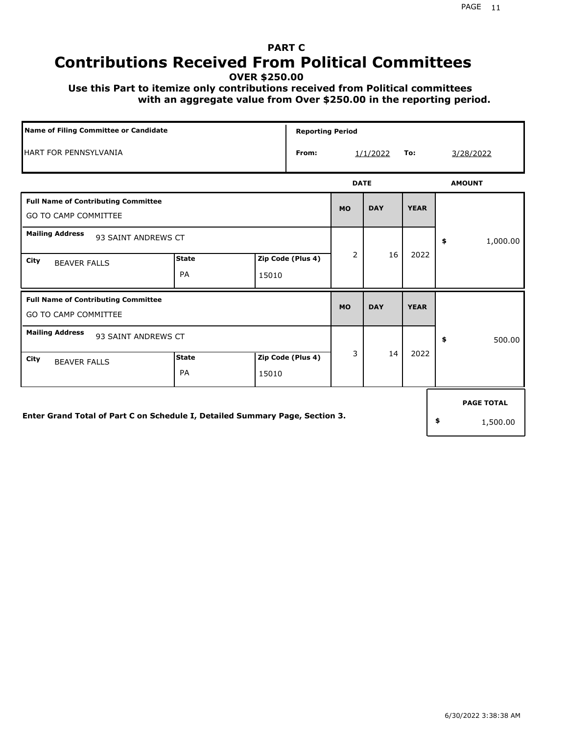## **PART C Contributions Received From Political Committees**

**OVER \$250.00**

 **Use this Part to itemize only contributions received from Political committees with an aggregate value from Over \$250.00 in the reporting period.**

| Name of Filing Committee or Candidate<br><b>Reporting Period</b>             |                    |                            |       |             |            |             |                   |
|------------------------------------------------------------------------------|--------------------|----------------------------|-------|-------------|------------|-------------|-------------------|
| <b>HART FOR PENNSYLVANIA</b>                                                 |                    |                            | From: |             | 1/1/2022   | To:         | 3/28/2022         |
|                                                                              |                    |                            |       | <b>DATE</b> |            |             | <b>AMOUNT</b>     |
| <b>Full Name of Contributing Committee</b><br><b>GO TO CAMP COMMITTEE</b>    |                    |                            |       | <b>MO</b>   | <b>DAY</b> | <b>YEAR</b> |                   |
| <b>Mailing Address</b><br>93 SAINT ANDREWS CT                                |                    |                            |       |             |            |             | \$<br>1,000.00    |
| City<br><b>BEAVER FALLS</b>                                                  | <b>State</b><br>PA | Zip Code (Plus 4)<br>15010 |       | 2           | 16         | 2022        |                   |
| <b>Full Name of Contributing Committee</b><br><b>GO TO CAMP COMMITTEE</b>    |                    |                            |       | <b>MO</b>   | <b>DAY</b> | <b>YEAR</b> |                   |
| <b>Mailing Address</b><br>93 SAINT ANDREWS CT                                |                    |                            |       |             |            |             | \$<br>500.00      |
| City<br><b>BEAVER FALLS</b>                                                  | <b>State</b><br>PA | Zip Code (Plus 4)<br>15010 |       | 3           | 14         | 2022        |                   |
|                                                                              |                    |                            |       |             |            |             | <b>PAGE TOTAL</b> |
| Enter Grand Total of Part C on Schedule I, Detailed Summary Page, Section 3. |                    |                            |       |             |            |             | \$<br>1,500.00    |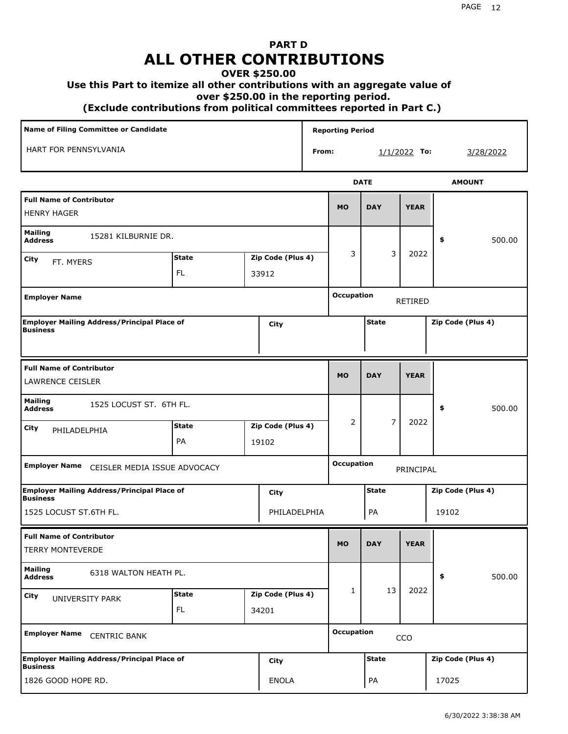# **PART D ALL OTHER CONTRIBUTIONS**

#### **OVER \$250.00**

#### **Use this Part to itemize all other contributions with an aggregate value of**

 **over \$250.00 in the reporting period.**

 **(Exclude contributions from political committees reported in Part C.)** 

| Name of Filing Committee or Candidate                                 |                                   |       |                   |   | <b>Reporting Period</b> |                |              |                   |  |  |
|-----------------------------------------------------------------------|-----------------------------------|-------|-------------------|---|-------------------------|----------------|--------------|-------------------|--|--|
| HART FOR PENNSYLVANIA<br>From:                                        |                                   |       |                   |   | $1/1/2022$ To:          | 3/28/2022      |              |                   |  |  |
|                                                                       |                                   |       |                   |   |                         | <b>DATE</b>    |              | <b>AMOUNT</b>     |  |  |
| <b>Full Name of Contributor</b><br><b>HENRY HAGER</b>                 |                                   |       |                   |   | <b>MO</b>               | <b>DAY</b>     | <b>YEAR</b>  |                   |  |  |
| <b>Mailing</b><br>15281 KILBURNIE DR.<br><b>Address</b>               |                                   |       |                   |   |                         |                | 500.00<br>\$ |                   |  |  |
| City<br>FT. MYERS                                                     | <b>State</b><br>Zip Code (Plus 4) |       |                   | 3 | 3                       | 2022           |              |                   |  |  |
|                                                                       | <b>FL</b>                         | 33912 |                   |   |                         |                |              |                   |  |  |
| <b>Employer Name</b>                                                  |                                   |       |                   |   | <b>Occupation</b>       |                | RETIRED      |                   |  |  |
| <b>Employer Mailing Address/Principal Place of</b><br><b>Business</b> |                                   |       | City              |   |                         | <b>State</b>   |              | Zip Code (Plus 4) |  |  |
| <b>Full Name of Contributor</b><br><b>LAWRENCE CEISLER</b>            |                                   |       |                   |   | <b>MO</b>               | <b>DAY</b>     | <b>YEAR</b>  |                   |  |  |
| <b>Mailing</b><br>1525 LOCUST ST. 6TH FL.<br><b>Address</b>           |                                   |       |                   |   |                         |                |              | \$<br>500.00      |  |  |
| City<br>PHILADELPHIA                                                  | <b>State</b>                      |       | Zip Code (Plus 4) |   | 2                       | $\overline{7}$ | 2022         |                   |  |  |
|                                                                       | PA                                |       | 19102             |   |                         |                |              |                   |  |  |
| <b>Employer Name</b><br>CEISLER MEDIA ISSUE ADVOCACY                  |                                   |       |                   |   | <b>Occupation</b>       |                | PRINCIPAL    |                   |  |  |
| <b>Employer Mailing Address/Principal Place of</b><br><b>Business</b> |                                   |       | City              |   |                         | <b>State</b>   |              | Zip Code (Plus 4) |  |  |
| 1525 LOCUST ST.6TH FL.                                                |                                   |       | PHILADELPHIA      |   |                         | PA             |              | 19102             |  |  |
| <b>Full Name of Contributor</b><br><b>TERRY MONTEVERDE</b>            |                                   |       |                   |   | <b>MO</b>               | <b>DAY</b>     | <b>YEAR</b>  |                   |  |  |
| <b>Mailing</b><br>6318 WALTON HEATH PL.<br><b>Address</b>             |                                   |       |                   |   |                         |                |              | \$<br>500.00      |  |  |
| City<br>UNIVERSITY PARK                                               | <b>State</b>                      |       | Zip Code (Plus 4) |   | 1                       | 13             | 2022         |                   |  |  |
|                                                                       | FL.                               |       | 34201             |   |                         |                |              |                   |  |  |
| <b>Employer Name</b><br><b>CENTRIC BANK</b>                           |                                   |       |                   |   | <b>Occupation</b>       |                |              |                   |  |  |
| <b>Employer Mailing Address/Principal Place of</b><br><b>Business</b> |                                   |       | City              |   |                         | <b>State</b>   |              | Zip Code (Plus 4) |  |  |
| 1826 GOOD HOPE RD.                                                    |                                   |       | <b>ENOLA</b>      |   |                         | PA             |              | 17025             |  |  |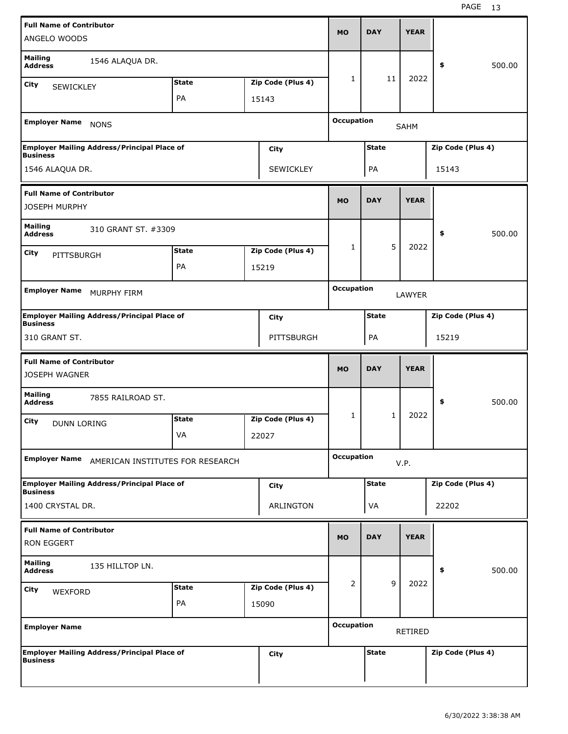| ANGELO WOODS                                            | <b>Full Name of Contributor</b>                    |              |                              |                   | <b>MO</b>                         | <b>DAY</b>   | <b>YEAR</b> |                   |        |  |
|---------------------------------------------------------|----------------------------------------------------|--------------|------------------------------|-------------------|-----------------------------------|--------------|-------------|-------------------|--------|--|
| <b>Mailing</b><br><b>Address</b>                        | 1546 ALAQUA DR.                                    |              |                              |                   |                                   |              |             | \$                | 500.00 |  |
| City<br><b>SEWICKLEY</b>                                |                                                    | <b>State</b> |                              | Zip Code (Plus 4) | 1                                 | 11           | 2022        |                   |        |  |
|                                                         |                                                    | PA           |                              | 15143             |                                   |              |             |                   |        |  |
| <b>Employer Name</b>                                    | <b>NONS</b>                                        |              |                              |                   | <b>Occupation</b><br><b>SAHM</b>  |              |             |                   |        |  |
| <b>Business</b>                                         | <b>Employer Mailing Address/Principal Place of</b> |              |                              | City              | <b>State</b><br>Zip Code (Plus 4) |              |             |                   |        |  |
| 1546 ALAQUA DR.<br>SEWICKLEY                            |                                                    |              |                              | PA                |                                   | 15143        |             |                   |        |  |
| <b>Full Name of Contributor</b><br><b>JOSEPH MURPHY</b> |                                                    |              |                              |                   | <b>MO</b>                         | <b>DAY</b>   | <b>YEAR</b> |                   |        |  |
| <b>Mailing</b><br><b>Address</b>                        | 310 GRANT ST. #3309                                |              |                              |                   |                                   |              |             | \$                | 500.00 |  |
| City                                                    |                                                    | <b>State</b> |                              | Zip Code (Plus 4) | 1                                 | 5            | 2022        |                   |        |  |
| PITTSBURGH                                              |                                                    | PA           |                              | 15219             |                                   |              |             |                   |        |  |
| <b>Employer Name</b><br>MURPHY FIRM                     |                                                    |              | <b>Occupation</b><br>LAWYER  |                   |                                   |              |             |                   |        |  |
| <b>Business</b>                                         | <b>Employer Mailing Address/Principal Place of</b> |              |                              | City              | <b>State</b><br>Zip Code (Plus 4) |              |             |                   |        |  |
| 310 GRANT ST.                                           |                                                    |              |                              | PITTSBURGH        | PA<br>15219                       |              |             |                   |        |  |
| <b>Full Name of Contributor</b><br><b>JOSEPH WAGNER</b> |                                                    |              |                              |                   | <b>MO</b>                         | <b>DAY</b>   | <b>YEAR</b> |                   |        |  |
| <b>Mailing</b><br><b>Address</b>                        | 7855 RAILROAD ST.                                  |              |                              |                   |                                   |              |             | \$                | 500.00 |  |
| City<br>DUNN LORING                                     |                                                    | <b>State</b> |                              | Zip Code (Plus 4) | 1                                 | $\mathbf{1}$ | 2022        |                   |        |  |
|                                                         |                                                    | VA           |                              | 22027             |                                   |              |             |                   |        |  |
| <b>Employer Name</b>                                    | AMERICAN INSTITUTES FOR RESEARCH                   |              |                              |                   | <b>Occupation</b><br>V.P.         |              |             |                   |        |  |
| <b>Business</b>                                         | <b>Employer Mailing Address/Principal Place of</b> |              |                              | City              |                                   | <b>State</b> |             | Zip Code (Plus 4) |        |  |
| 1400 CRYSTAL DR.                                        |                                                    |              |                              | ARLINGTON         |                                   | VA           |             | 22202             |        |  |
| <b>Full Name of Contributor</b><br>RON EGGERT           |                                                    |              |                              |                   | <b>MO</b>                         | <b>DAY</b>   | <b>YEAR</b> |                   |        |  |
| <b>Mailing</b><br><b>Address</b>                        | 135 HILLTOP LN.                                    |              |                              |                   |                                   |              |             | \$                | 500.00 |  |
| City<br>WEXFORD                                         |                                                    | <b>State</b> |                              | Zip Code (Plus 4) | 2                                 | 9            | 2022        |                   |        |  |
|                                                         |                                                    | PA           |                              | 15090             |                                   |              |             |                   |        |  |
| <b>Employer Name</b>                                    |                                                    |              | <b>Occupation</b><br>RETIRED |                   |                                   |              |             |                   |        |  |
| <b>Business</b>                                         | <b>Employer Mailing Address/Principal Place of</b> |              |                              | <b>City</b>       |                                   | <b>State</b> |             | Zip Code (Plus 4) |        |  |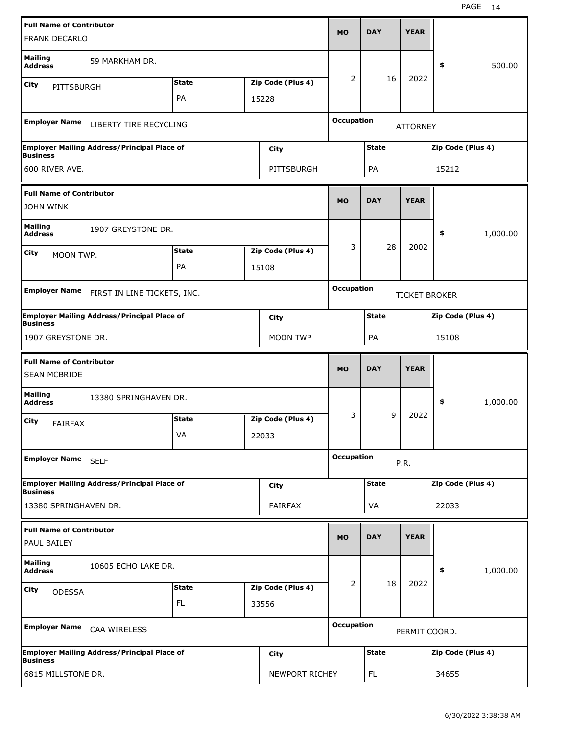|                                                        | <b>Full Name of Contributor</b><br><b>FRANK DECARLO</b> |              |                   |                            | <b>MO</b>                         | <b>DAY</b>   | <b>YEAR</b>     |                   |          |  |
|--------------------------------------------------------|---------------------------------------------------------|--------------|-------------------|----------------------------|-----------------------------------|--------------|-----------------|-------------------|----------|--|
|                                                        |                                                         |              |                   |                            |                                   |              |                 |                   |          |  |
| <b>Mailing</b><br><b>Address</b>                       | 59 MARKHAM DR.                                          |              |                   |                            |                                   |              |                 | \$                | 500.00   |  |
| City<br>PITTSBURGH                                     |                                                         | <b>State</b> |                   | Zip Code (Plus 4)          | 2                                 | 16           | 2022            |                   |          |  |
|                                                        |                                                         | PA           |                   | 15228                      |                                   |              |                 |                   |          |  |
| <b>Employer Name</b>                                   | LIBERTY TIRE RECYCLING                                  |              |                   |                            | <b>Occupation</b>                 |              | <b>ATTORNEY</b> |                   |          |  |
| <b>Business</b>                                        | <b>Employer Mailing Address/Principal Place of</b>      |              |                   | City                       | <b>State</b><br>Zip Code (Plus 4) |              |                 |                   |          |  |
| 600 RIVER AVE.<br>PITTSBURGH                           |                                                         |              |                   | PA                         |                                   | 15212        |                 |                   |          |  |
| <b>Full Name of Contributor</b>                        |                                                         |              | <b>MO</b>         | <b>DAY</b>                 | <b>YEAR</b>                       |              |                 |                   |          |  |
| <b>JOHN WINK</b>                                       |                                                         |              |                   |                            |                                   |              |                 |                   |          |  |
| <b>Mailing</b><br><b>Address</b>                       | 1907 GREYSTONE DR.                                      |              |                   |                            |                                   |              |                 | \$                | 1,000.00 |  |
| <b>State</b><br>Zip Code (Plus 4)<br>City<br>MOON TWP. |                                                         |              | 3                 | 28                         | 2002                              |              |                 |                   |          |  |
| PA<br>15108                                            |                                                         |              |                   |                            |                                   |              |                 |                   |          |  |
| <b>Employer Name</b>                                   |                                                         |              | <b>Occupation</b> |                            |                                   |              |                 |                   |          |  |
|                                                        | FIRST IN LINE TICKETS, INC.                             |              |                   |                            | <b>TICKET BROKER</b>              |              |                 |                   |          |  |
| <b>Business</b>                                        | <b>Employer Mailing Address/Principal Place of</b>      |              |                   | City                       |                                   | <b>State</b> |                 | Zip Code (Plus 4) |          |  |
| 1907 GREYSTONE DR.                                     |                                                         |              |                   | <b>MOON TWP</b>            |                                   | PA           |                 | 15108             |          |  |
|                                                        |                                                         |              |                   |                            |                                   |              |                 |                   |          |  |
| <b>Full Name of Contributor</b>                        |                                                         |              |                   |                            |                                   |              |                 |                   |          |  |
| <b>SEAN MCBRIDE</b>                                    |                                                         |              |                   |                            | <b>MO</b>                         | <b>DAY</b>   | <b>YEAR</b>     |                   |          |  |
| <b>Mailing</b><br><b>Address</b>                       | 13380 SPRINGHAVEN DR.                                   |              |                   |                            |                                   |              |                 | \$                | 1,000.00 |  |
| City                                                   |                                                         | <b>State</b> |                   | Zip Code (Plus 4)          | 3                                 | 9            | 2022            |                   |          |  |
| <b>FAIRFAX</b>                                         |                                                         | VA           |                   | 22033                      |                                   |              |                 |                   |          |  |
| <b>Employer Name</b>                                   | <b>SELF</b>                                             |              |                   |                            | <b>Occupation</b>                 |              | P.R.            |                   |          |  |
|                                                        | <b>Employer Mailing Address/Principal Place of</b>      |              |                   | <b>City</b>                |                                   | <b>State</b> |                 | Zip Code (Plus 4) |          |  |
| <b>Business</b><br>13380 SPRINGHAVEN DR.               |                                                         |              |                   | FAIRFAX                    |                                   | VA           |                 | 22033             |          |  |
| <b>Full Name of Contributor</b><br>PAUL BAILEY         |                                                         |              |                   |                            | <b>MO</b>                         | <b>DAY</b>   | <b>YEAR</b>     |                   |          |  |
| <b>Mailing</b><br><b>Address</b>                       | 10605 ECHO LAKE DR.                                     |              |                   |                            |                                   |              |                 | \$                | 1,000.00 |  |
|                                                        |                                                         | <b>State</b> |                   |                            | $\overline{2}$                    | 18           | 2022            |                   |          |  |
| City<br><b>ODESSA</b>                                  |                                                         | <b>FL</b>    |                   | Zip Code (Plus 4)<br>33556 |                                   |              |                 |                   |          |  |
| <b>Employer Name</b>                                   | CAA WIRELESS                                            |              |                   |                            | <b>Occupation</b>                 |              | PERMIT COORD.   |                   |          |  |
| <b>Business</b>                                        | <b>Employer Mailing Address/Principal Place of</b>      |              |                   | City                       |                                   | <b>State</b> |                 | Zip Code (Plus 4) |          |  |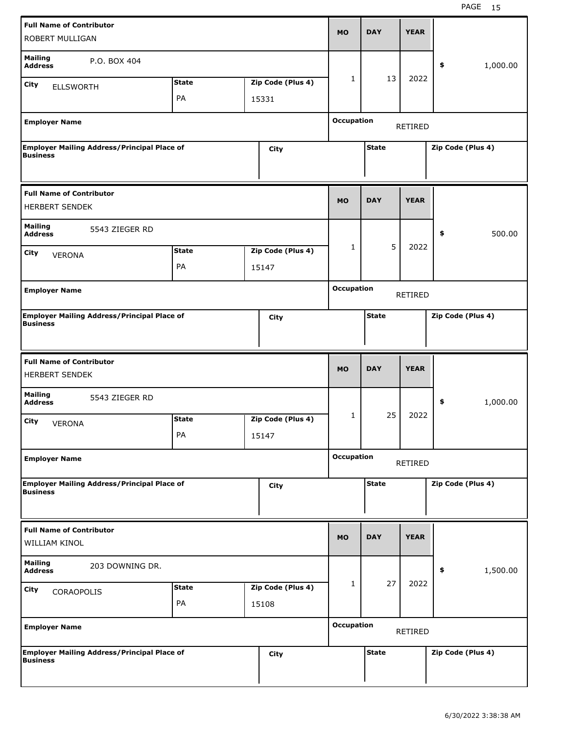|                                                                                      | <b>Full Name of Contributor</b><br>ROBERT MULLIGAN |                    |                                     |                   | <b>DAY</b>                          | <b>YEAR</b>       |                   |  |  |  |
|--------------------------------------------------------------------------------------|----------------------------------------------------|--------------------|-------------------------------------|-------------------|-------------------------------------|-------------------|-------------------|--|--|--|
| <b>Mailing</b><br><b>Address</b><br>City<br><b>ELLSWORTH</b>                         | P.O. BOX 404                                       | <b>State</b>       | Zip Code (Plus 4)                   | $\mathbf{1}$      | 13                                  | 2022              | \$<br>1,000.00    |  |  |  |
|                                                                                      |                                                    | PA                 | 15331                               |                   |                                     |                   |                   |  |  |  |
| <b>Employer Name</b>                                                                 |                                                    |                    |                                     |                   | <b>Occupation</b><br><b>RETIRED</b> |                   |                   |  |  |  |
| <b>Business</b>                                                                      | <b>Employer Mailing Address/Principal Place of</b> |                    | <b>City</b>                         |                   | <b>State</b>                        |                   | Zip Code (Plus 4) |  |  |  |
| <b>Full Name of Contributor</b><br><b>HERBERT SENDEK</b>                             |                                                    |                    |                                     | <b>MO</b>         | <b>DAY</b>                          | <b>YEAR</b>       |                   |  |  |  |
| <b>Mailing</b><br><b>Address</b><br><b>City</b><br><b>VERONA</b>                     | 5543 ZIEGER RD                                     | <b>State</b><br>PA | Zip Code (Plus 4)<br>15147          | 1                 | 5                                   | 2022              | \$<br>500.00      |  |  |  |
| <b>Employer Name</b>                                                                 |                                                    |                    | <b>Occupation</b><br><b>RETIRED</b> |                   |                                     |                   |                   |  |  |  |
| <b>Employer Mailing Address/Principal Place of</b><br><b>City</b><br><b>Business</b> |                                                    |                    |                                     | <b>State</b>      |                                     | Zip Code (Plus 4) |                   |  |  |  |
|                                                                                      |                                                    |                    |                                     |                   |                                     |                   |                   |  |  |  |
| <b>Full Name of Contributor</b><br><b>HERBERT SENDEK</b>                             |                                                    |                    |                                     | <b>MO</b>         | <b>DAY</b>                          | <b>YEAR</b>       |                   |  |  |  |
| <b>Mailing</b><br><b>Address</b>                                                     | 5543 ZIEGER RD                                     |                    |                                     |                   |                                     |                   | \$<br>1,000.00    |  |  |  |
| City<br><b>VERONA</b>                                                                |                                                    | <b>State</b><br>PA | Zip Code (Plus 4)<br>15147          | 1                 | 25                                  | 2022              |                   |  |  |  |
| <b>Employer Name</b>                                                                 |                                                    |                    |                                     | <b>Occupation</b> |                                     | <b>RETIRED</b>    |                   |  |  |  |
| <b>Business</b>                                                                      | <b>Employer Mailing Address/Principal Place of</b> |                    | <b>City</b>                         |                   | <b>State</b>                        |                   | Zip Code (Plus 4) |  |  |  |
| <b>Full Name of Contributor</b><br>WILLIAM KINOL                                     |                                                    |                    |                                     | <b>MO</b>         | <b>DAY</b>                          | <b>YEAR</b>       |                   |  |  |  |
| <b>Mailing</b><br><b>Address</b>                                                     | 203 DOWNING DR.                                    |                    |                                     |                   |                                     |                   | 1,500.00<br>\$    |  |  |  |
| City<br>CORAOPOLIS                                                                   |                                                    | <b>State</b><br>PA | Zip Code (Plus 4)<br>15108          | $\mathbf{1}$      | 27                                  | 2022              |                   |  |  |  |
| <b>Employer Name</b>                                                                 |                                                    |                    |                                     | <b>Occupation</b> |                                     | RETIRED           |                   |  |  |  |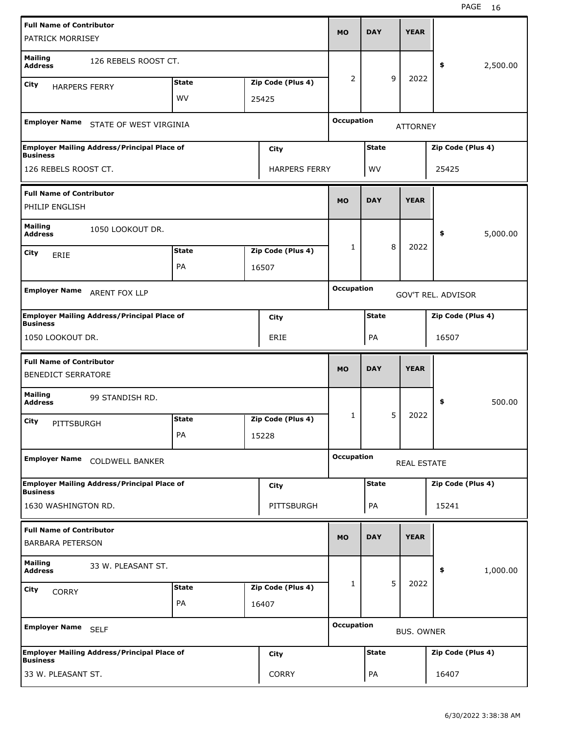|                                                              | <b>Full Name of Contributor</b><br>PATRICK MORRISEY |              |                                                |                      | MO                                      | <b>DAY</b>   |             | <b>YEAR</b> |                   |          |
|--------------------------------------------------------------|-----------------------------------------------------|--------------|------------------------------------------------|----------------------|-----------------------------------------|--------------|-------------|-------------|-------------------|----------|
| <b>Mailing</b><br><b>Address</b>                             | 126 REBELS ROOST CT.                                |              |                                                |                      |                                         |              |             |             | \$                | 2,500.00 |
| City<br><b>HARPERS FERRY</b>                                 |                                                     | <b>State</b> |                                                | Zip Code (Plus 4)    | 2                                       |              | 9           | 2022        |                   |          |
|                                                              |                                                     | <b>WV</b>    |                                                | 25425                |                                         |              |             |             |                   |          |
|                                                              | Employer Name STATE OF WEST VIRGINIA                |              |                                                |                      | <b>Occupation</b><br><b>ATTORNEY</b>    |              |             |             |                   |          |
| <b>Business</b>                                              | Employer Mailing Address/Principal Place of         |              |                                                | City                 | <b>State</b><br>Zip Code (Plus 4)       |              |             |             |                   |          |
| 126 REBELS ROOST CT.                                         |                                                     |              |                                                | <b>HARPERS FERRY</b> | WV<br>25425                             |              |             |             |                   |          |
| <b>Full Name of Contributor</b><br>PHILIP ENGLISH            |                                                     |              |                                                | <b>MO</b>            | <b>DAY</b>                              |              | <b>YEAR</b> |             |                   |          |
| <b>Mailing</b><br><b>Address</b>                             | 1050 LOOKOUT DR.                                    |              |                                                |                      |                                         |              |             |             | \$                | 5,000.00 |
|                                                              |                                                     | <b>State</b> |                                                | Zip Code (Plus 4)    | 1                                       |              | 8           | 2022        |                   |          |
| City<br>ERIE                                                 |                                                     | PA           |                                                |                      |                                         |              |             |             |                   |          |
|                                                              |                                                     |              |                                                | 16507                |                                         |              |             |             |                   |          |
| <b>Employer Name</b><br>ARENT FOX LLP                        |                                                     |              | <b>Occupation</b><br><b>GOV'T REL. ADVISOR</b> |                      |                                         |              |             |             |                   |          |
| <b>Business</b>                                              | <b>Employer Mailing Address/Principal Place of</b>  |              |                                                | City                 |                                         | <b>State</b> |             |             | Zip Code (Plus 4) |          |
| 1050 LOOKOUT DR.                                             |                                                     |              |                                                | ERIE                 |                                         | PA           |             |             | 16507             |          |
| <b>Full Name of Contributor</b><br><b>BENEDICT SERRATORE</b> |                                                     |              |                                                |                      | <b>MO</b>                               | <b>DAY</b>   |             | <b>YEAR</b> |                   |          |
| <b>Mailing</b><br><b>Address</b>                             | 99 STANDISH RD.                                     |              |                                                |                      |                                         |              |             |             | \$                | 500.00   |
| City<br>PITTSBURGH                                           |                                                     | <b>State</b> |                                                | Zip Code (Plus 4)    | 1                                       |              | 5           | 2022        |                   |          |
|                                                              |                                                     | PA           |                                                | 15228                |                                         |              |             |             |                   |          |
|                                                              | Employer Name COLDWELL BANKER                       |              |                                                |                      | <b>Occupation</b><br><b>REAL ESTATE</b> |              |             |             |                   |          |
| <b>Business</b>                                              | <b>Employer Mailing Address/Principal Place of</b>  |              |                                                | City                 |                                         | <b>State</b> |             |             | Zip Code (Plus 4) |          |
| 1630 WASHINGTON RD.                                          |                                                     |              |                                                | PITTSBURGH           |                                         | PA           |             |             | 15241             |          |
| <b>Full Name of Contributor</b><br><b>BARBARA PETERSON</b>   |                                                     |              |                                                |                      | <b>MO</b>                               | <b>DAY</b>   |             | <b>YEAR</b> |                   |          |
| <b>Mailing</b><br><b>Address</b>                             | 33 W. PLEASANT ST.                                  |              |                                                |                      |                                         |              |             |             | \$                | 1,000.00 |
| City<br><b>CORRY</b>                                         |                                                     | <b>State</b> |                                                | Zip Code (Plus 4)    | 1                                       |              | 5           | 2022        |                   |          |
|                                                              |                                                     | PA           |                                                | 16407                |                                         |              |             |             |                   |          |
| Employer Name SELF                                           |                                                     |              | <b>Occupation</b><br><b>BUS. OWNER</b>         |                      |                                         |              |             |             |                   |          |
|                                                              |                                                     |              |                                                |                      |                                         |              |             |             |                   |          |
| <b>Business</b>                                              | <b>Employer Mailing Address/Principal Place of</b>  |              |                                                | City                 |                                         | <b>State</b> |             |             | Zip Code (Plus 4) |          |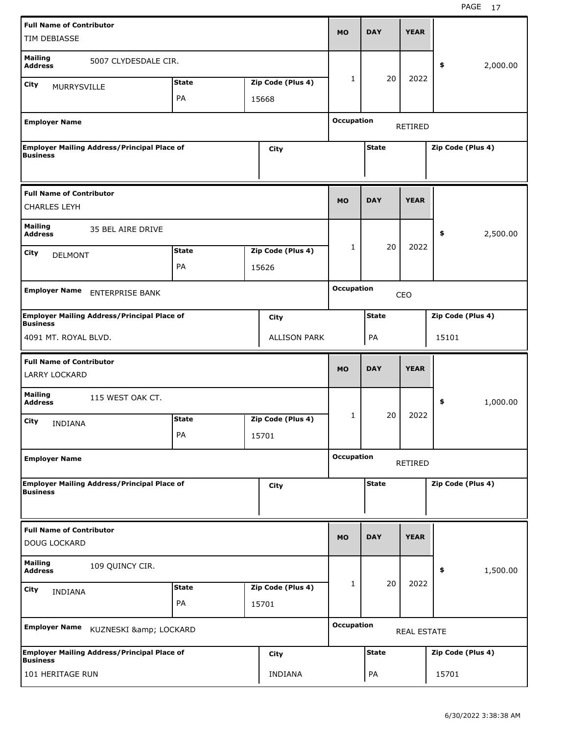|                                                                                      | <b>Full Name of Contributor</b>                    |              |                                   |                                             | <b>MO</b>                           | <b>DAY</b>   | <b>YEAR</b> |                   |          |
|--------------------------------------------------------------------------------------|----------------------------------------------------|--------------|-----------------------------------|---------------------------------------------|-------------------------------------|--------------|-------------|-------------------|----------|
| TIM DEBIASSE                                                                         |                                                    |              |                                   |                                             |                                     |              |             |                   |          |
| <b>Mailing</b><br><b>Address</b>                                                     | 5007 CLYDESDALE CIR.                               |              |                                   |                                             |                                     |              |             | \$                | 2,000.00 |
| <b>City</b><br><b>MURRYSVILLE</b>                                                    |                                                    | <b>State</b> |                                   | Zip Code (Plus 4)                           | $\mathbf{1}$                        | 20           | 2022        |                   |          |
|                                                                                      |                                                    | PA           | 15668                             |                                             |                                     |              |             |                   |          |
| <b>Employer Name</b>                                                                 |                                                    |              |                                   |                                             | <b>Occupation</b><br><b>RETIRED</b> |              |             |                   |          |
| <b>Employer Mailing Address/Principal Place of</b><br><b>City</b><br><b>Business</b> |                                                    |              | <b>State</b><br>Zip Code (Plus 4) |                                             |                                     |              |             |                   |          |
| <b>Full Name of Contributor</b><br><b>CHARLES LEYH</b>                               |                                                    |              |                                   |                                             | <b>MO</b>                           | <b>DAY</b>   | <b>YEAR</b> |                   |          |
| <b>Mailing</b><br><b>Address</b>                                                     | 35 BEL AIRE DRIVE                                  |              |                                   |                                             |                                     |              |             | \$                | 2,500.00 |
| City<br><b>DELMONT</b>                                                               |                                                    | <b>State</b> |                                   | Zip Code (Plus 4)                           | 1                                   | 20           | 2022        |                   |          |
|                                                                                      |                                                    | PA           | 15626                             |                                             |                                     |              |             |                   |          |
| <b>Employer Name</b><br><b>ENTERPRISE BANK</b>                                       |                                                    |              | <b>Occupation</b><br>CEO          |                                             |                                     |              |             |                   |          |
|                                                                                      | <b>Employer Mailing Address/Principal Place of</b> |              |                                   |                                             | <b>State</b><br>Zip Code (Plus 4)   |              |             |                   |          |
| <b>Business</b>                                                                      |                                                    |              |                                   | <b>City</b>                                 |                                     |              |             |                   |          |
|                                                                                      |                                                    |              |                                   | 4091 MT. ROYAL BLVD.<br><b>ALLISON PARK</b> |                                     |              |             | 15101             |          |
| <b>Full Name of Contributor</b>                                                      |                                                    |              |                                   |                                             |                                     |              |             |                   |          |
| <b>LARRY LOCKARD</b>                                                                 |                                                    |              |                                   |                                             | <b>MO</b>                           | <b>DAY</b>   | <b>YEAR</b> |                   |          |
| <b>Mailing</b><br><b>Address</b>                                                     | 115 WEST OAK CT.                                   |              |                                   |                                             |                                     |              |             | \$                | 1,000.00 |
| City                                                                                 |                                                    | <b>State</b> |                                   | Zip Code (Plus 4)                           | 1                                   | 20           | 2022        |                   |          |
| <b>INDIANA</b>                                                                       |                                                    | PA           | 15701                             |                                             |                                     |              |             |                   |          |
| <b>Employer Name</b>                                                                 |                                                    |              |                                   |                                             | <b>Occupation</b>                   |              | RETIRED     |                   |          |
|                                                                                      | <b>Employer Mailing Address/Principal Place of</b> |              |                                   | <b>City</b>                                 |                                     | <b>State</b> |             | Zip Code (Plus 4) |          |
| <b>Business</b>                                                                      |                                                    |              |                                   |                                             |                                     |              |             |                   |          |
| <b>Full Name of Contributor</b><br><b>DOUG LOCKARD</b>                               |                                                    |              |                                   |                                             | <b>MO</b>                           | <b>DAY</b>   | <b>YEAR</b> |                   |          |
| <b>Mailing</b><br><b>Address</b>                                                     | 109 QUINCY CIR.                                    |              |                                   |                                             |                                     |              |             | \$                | 1,500.00 |
| <b>City</b>                                                                          |                                                    | <b>State</b> |                                   | Zip Code (Plus 4)                           | 1                                   | 20           | 2022        |                   |          |
| <b>INDIANA</b>                                                                       |                                                    | PA           | 15701                             |                                             |                                     |              |             |                   |          |
| <b>Employer Name</b>                                                                 | KUZNESKI & LOCKARD                                 |              |                                   |                                             | <b>Occupation</b>                   |              | REAL ESTATE |                   |          |
| <b>Business</b>                                                                      | <b>Employer Mailing Address/Principal Place of</b> |              |                                   | <b>City</b>                                 |                                     | <b>State</b> |             | Zip Code (Plus 4) |          |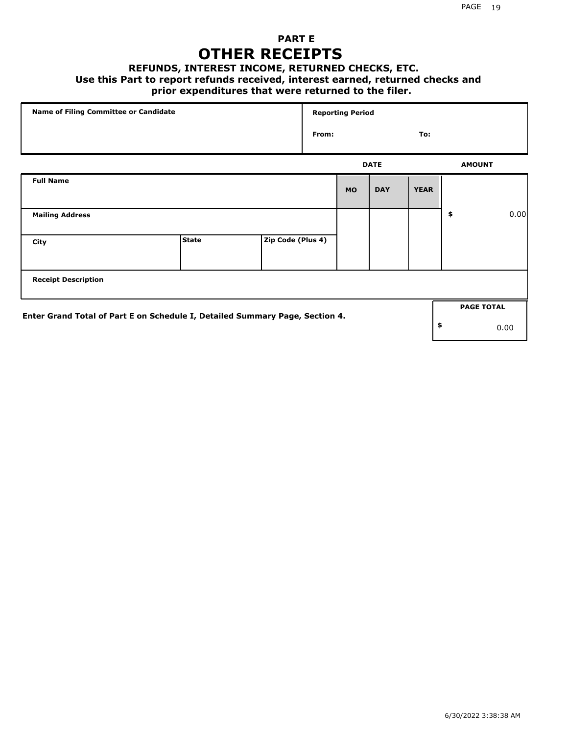## **PART E OTHER RECEIPTS**

#### **REFUNDS, INTEREST INCOME, RETURNED CHECKS, ETC.**

#### **Use this Part to report refunds received, interest earned, returned checks and**

### **prior expenditures that were returned to the filer.**

| Name of Filing Committee or Candidate                                        |              |                   | <b>Reporting Period</b> |           |             |             |    |                   |      |
|------------------------------------------------------------------------------|--------------|-------------------|-------------------------|-----------|-------------|-------------|----|-------------------|------|
|                                                                              |              |                   | From:                   |           |             | To:         |    |                   |      |
|                                                                              |              |                   |                         |           | <b>DATE</b> |             |    | <b>AMOUNT</b>     |      |
| <b>Full Name</b>                                                             |              |                   |                         | <b>MO</b> | <b>DAY</b>  | <b>YEAR</b> |    |                   |      |
| <b>Mailing Address</b>                                                       |              |                   |                         |           |             |             | \$ |                   | 0.00 |
| City                                                                         | <b>State</b> | Zip Code (Plus 4) |                         |           |             |             |    |                   |      |
| <b>Receipt Description</b>                                                   |              |                   |                         |           |             |             |    |                   |      |
| Enter Grand Total of Part E on Schedule I, Detailed Summary Page, Section 4. |              |                   |                         |           |             |             |    | <b>PAGE TOTAL</b> |      |
|                                                                              |              |                   |                         |           |             |             | \$ |                   | 0.00 |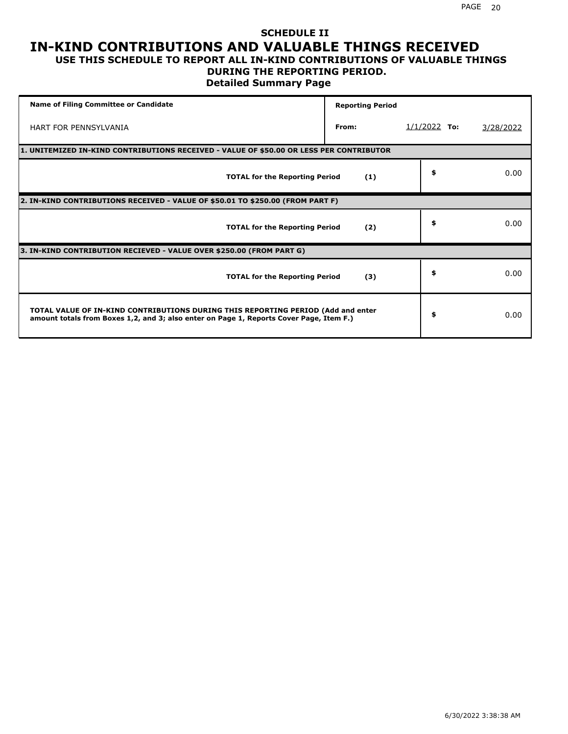#### **SCHEDULE II IN-KIND CONTRIBUTIONS AND VALUABLE THINGS RECEIVED USE THIS SCHEDULE TO REPORT ALL IN-KIND CONTRIBUTIONS OF VALUABLE THINGS**

## **DURING THE REPORTING PERIOD.**

**Detailed Summary Page**

| <b>Name of Filing Committee or Candidate</b>                                                                                                                                | <b>Reporting Period</b> |                |           |
|-----------------------------------------------------------------------------------------------------------------------------------------------------------------------------|-------------------------|----------------|-----------|
| <b>HART FOR PENNSYLVANIA</b>                                                                                                                                                | From:                   | $1/1/2022$ To: | 3/28/2022 |
| 1. UNITEMIZED IN-KIND CONTRIBUTIONS RECEIVED - VALUE OF \$50.00 OR LESS PER CONTRIBUTOR                                                                                     |                         |                |           |
| <b>TOTAL for the Reporting Period</b>                                                                                                                                       | (1)                     | \$             | 0.00      |
| 2. IN-KIND CONTRIBUTIONS RECEIVED - VALUE OF \$50.01 TO \$250.00 (FROM PART F)                                                                                              |                         |                |           |
| <b>TOTAL for the Reporting Period</b>                                                                                                                                       | (2)                     | \$             | 0.00      |
| 3. IN-KIND CONTRIBUTION RECIEVED - VALUE OVER \$250.00 (FROM PART G)                                                                                                        |                         |                |           |
| <b>TOTAL for the Reporting Period</b>                                                                                                                                       | (3)                     | \$             | 0.00      |
| TOTAL VALUE OF IN-KIND CONTRIBUTIONS DURING THIS REPORTING PERIOD (Add and enter<br>amount totals from Boxes 1,2, and 3; also enter on Page 1, Reports Cover Page, Item F.) |                         | \$             | 0.00      |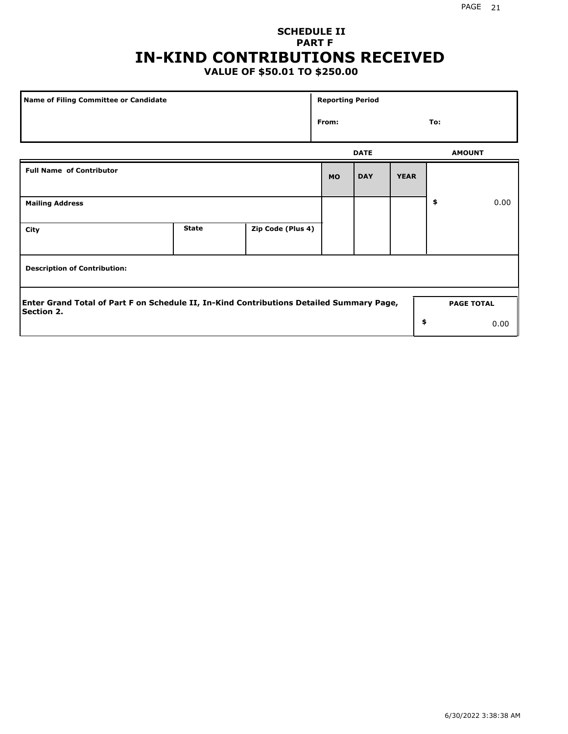## **SCHEDULE II PART F IN-KIND CONTRIBUTIONS RECEIVED**

## **VALUE OF \$50.01 TO \$250.00**

| Name of Filing Committee or Candidate                                                                  |              |                   |           | <b>Reporting Period</b> |             |               |                   |  |  |
|--------------------------------------------------------------------------------------------------------|--------------|-------------------|-----------|-------------------------|-------------|---------------|-------------------|--|--|
|                                                                                                        |              |                   | From:     |                         |             | To:           |                   |  |  |
|                                                                                                        |              |                   |           | <b>DATE</b>             |             | <b>AMOUNT</b> |                   |  |  |
| <b>Full Name of Contributor</b>                                                                        |              |                   | <b>MO</b> | <b>DAY</b>              | <b>YEAR</b> |               |                   |  |  |
| <b>Mailing Address</b>                                                                                 |              |                   |           |                         |             | \$            | 0.00              |  |  |
| City                                                                                                   | <b>State</b> | Zip Code (Plus 4) |           |                         |             |               |                   |  |  |
| <b>Description of Contribution:</b>                                                                    |              |                   |           |                         |             |               |                   |  |  |
| Enter Grand Total of Part F on Schedule II, In-Kind Contributions Detailed Summary Page,<br>Section 2. |              |                   |           |                         |             |               | <b>PAGE TOTAL</b> |  |  |
|                                                                                                        |              |                   |           |                         | \$          |               | 0.00              |  |  |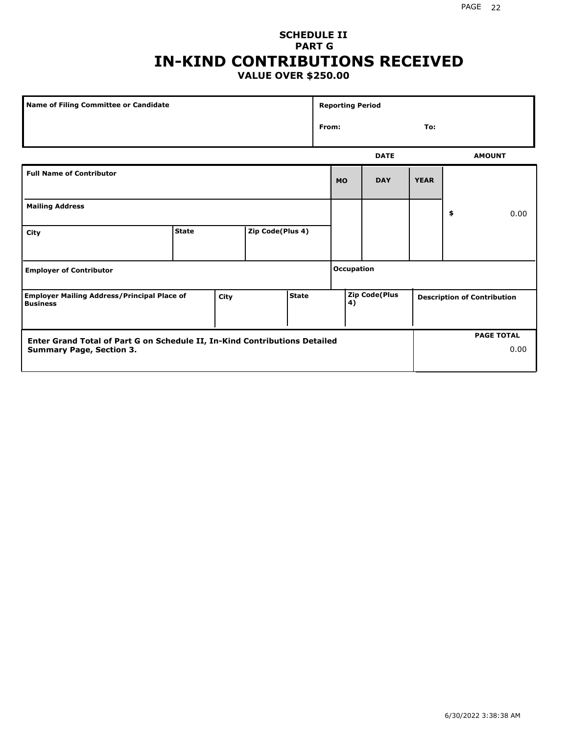#### **SCHEDULE II PART G IN-KIND CONTRIBUTIONS RECEIVED VALUE OVER \$250.00**

| Name of Filing Committee or Candidate                                 |              |      |                  | <b>Reporting Period</b> |       |                   |               |             |    |                                    |
|-----------------------------------------------------------------------|--------------|------|------------------|-------------------------|-------|-------------------|---------------|-------------|----|------------------------------------|
|                                                                       |              |      |                  |                         | From: |                   |               | To:         |    |                                    |
|                                                                       |              |      |                  |                         |       |                   | <b>DATE</b>   |             |    | <b>AMOUNT</b>                      |
| <b>Full Name of Contributor</b>                                       |              |      |                  |                         |       | <b>MO</b>         | <b>DAY</b>    | <b>YEAR</b> |    |                                    |
| <b>Mailing Address</b>                                                |              |      |                  |                         |       |                   |               |             | \$ | 0.00                               |
| City                                                                  | <b>State</b> |      | Zip Code(Plus 4) |                         |       |                   |               |             |    |                                    |
| <b>Employer of Contributor</b>                                        |              |      |                  |                         |       | <b>Occupation</b> |               |             |    |                                    |
| <b>Employer Mailing Address/Principal Place of</b><br><b>Business</b> |              | City |                  | <b>State</b>            |       | 4)                | Zip Code(Plus |             |    | <b>Description of Contribution</b> |

| Enter Grand Total of Part G on Schedule II, In-Kind Contributions Detailed |  | <b>PAGE TOTAL</b> |
|----------------------------------------------------------------------------|--|-------------------|
| <b>Summary Page, Section 3.</b>                                            |  | 0.00              |
|                                                                            |  |                   |